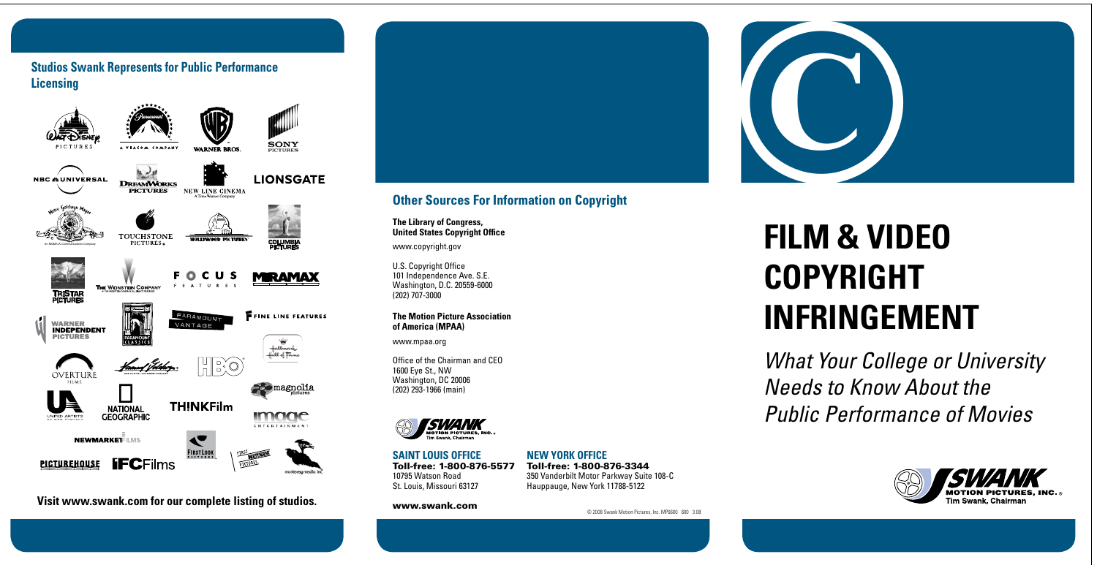

© 2008 Swank Motion Pictures, Inc. MP6600 600 3.08

# **FILM & VIDEO COPYRIGHT INFRINGEMENT**



*What Your College or University Needs to Know About the Public Performance of Movies*

# **Other Sources For Information on Copyright**

**The Library of Congress, United States Copyright Office**

www.copyright.gov

U.S. Copyright Office 101 Independence Ave. S.E. Washington, D.C. 20559-6000 (202) 707-3000

#### **Studios Swank Represents for Public Performance Licensing SONY** VIACOM COMBAN **WARNER BROS LIONSGATE NBC &UNIVERSAL DREAMWORKS** NEW LINE CINEMA **PICTURES** 詹全 TOUCHSTONE **HOLLYWOOD PICTURES COLUMB**<br>PICTURE PICTURES. An MGM/UA Communications Company FO. C U **MIRAMAX** F F A THE WEINSTEIN COMPANY **TRISTAF**<br>PICTURES PARAMOUNT **FFINE LINE FEATURES**  $\mathbb{P}$ **WARNER** VANTAGE **INDEPENDENT PICTURES PARAMOUNT** Hattmark Hall of Farme HEO<sup>\*</sup> **OVERTUR Be magnolia TH!NKFilm NATIONAL** *image* **GEOGRAPHIC ENTERTAINMENT NEWMARKETTLMS** FIRST LOOK **PICTUREHOUSE IFCFilms PICTUR**

#### **The Motion Picture Association of America (MPAA)**

www.mpaa.org

Office of the Chairman and CEO 1600 Eye St., NW Washington, DC 20006 (202) 293-1966 (main)



**Saint Louis OFFICE** Toll-free: 1-800-876-5577 10795 Watson Road St. Louis, Missouri 63127

## www.swank.com

## **NEW YORK OFFICE**

Toll-free: 1-800-876-3344 350 Vanderbilt Motor Parkway Suite 108-C Hauppauge, New York 11788-5122



**Visit www.swank.com for our complete listing of studios.**